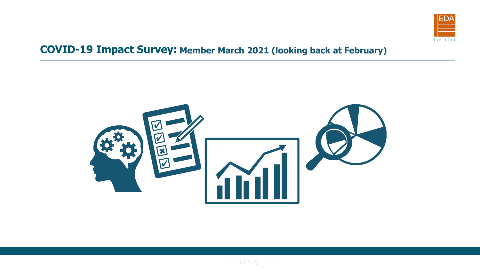

## **COVID-19 Impact Survey: Member March 2021 (looking back at February)**

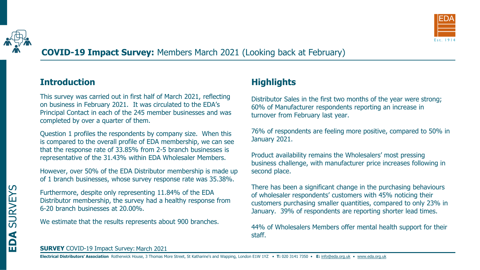

# **COVID-19 Impact Survey:** Members March 2021 (Looking back at February)

### **Introduction**

This survey was carried out in first half of March 2021, reflecting on business in February 2021. It was circulated to the EDA's Principal Contact in each of the 245 member businesses and was completed by over a quarter of them.

Question 1 profiles the respondents by company size. When this is compared to the overall profile of EDA membership, we can see that the response rate of 33.85% from 2-5 branch businesses is representative of the 31.43% within EDA Wholesaler Members.

However, over 50% of the EDA Distributor membership is made up of 1 branch businesses, whose survey response rate was 35.38%.

Furthermore, despite only representing 11.84% of the EDA Distributor membership, the survey had a healthy response from 6-20 branch businesses at 20.00%.

We estimate that the results represents about 900 branches.

## **Highlights**

Distributor Sales in the first two months of the year were strong; 60% of Manufacturer respondents reporting an increase in turnover from February last year.

76% of respondents are feeling more positive, compared to 50% in January 2021.

Product availability remains the Wholesalers' most pressing business challenge, with manufacturer price increases following in second place.

There has been a significant change in the purchasing behaviours of wholesaler respondents' customers with 45% noticing their customers purchasing smaller quantities, compared to only 23% in January. 39% of respondents are reporting shorter lead times.

44% of Wholesalers Members offer mental health support for their staff.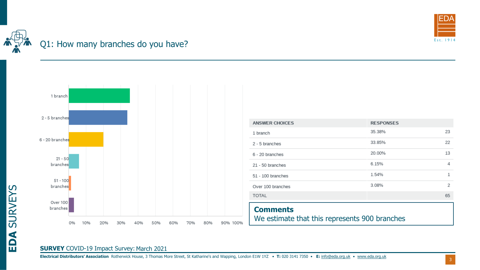

# Q1: How many branches do you have?



| <b>ANSWER CHOICES</b>                                            | <b>RESPONSES</b> |    |
|------------------------------------------------------------------|------------------|----|
| 1 branch                                                         | 35.38%           | 23 |
| 2 - 5 branches                                                   | 33.85%           | 22 |
| 6 - 20 branches                                                  | 20.00%           | 13 |
| 21 - 50 branches                                                 | 6.15%            | 4  |
| $51 - 100$ branches                                              | 1.54%            | 1  |
| Over 100 branches                                                | 3.08%            | 2  |
| <b>TOTAL</b>                                                     |                  | 65 |
| <b>Comments</b><br>We estimate that this represents 900 branches |                  |    |

#### **SURVEY** COVID-19 Impact Survey: March 2021

**EDA** SURVEYS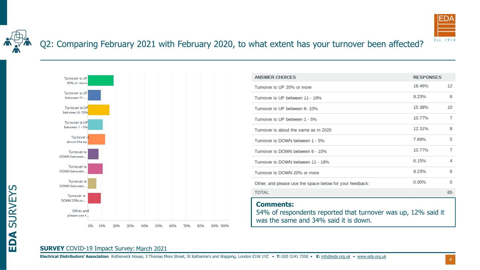

# Q2: Comparing February 2021 with February 2020, to what extent has your turnover been affected?



| <b>ANSWER CHOICES</b>                                                                                                      | <b>RESPONSES</b> |          |
|----------------------------------------------------------------------------------------------------------------------------|------------------|----------|
| Turnover is UP 20% or more                                                                                                 | 18.46%           | 12       |
| Turnover is UP between 11 - 19%                                                                                            | 9.23%            | 6        |
| Turnover is UP between 6-10%                                                                                               | 15.38%           | 10       |
| Turnover is UP between 1 - 5%                                                                                              | 10.77%           | 7        |
| Turnover is about the same as in 2020                                                                                      | 12.31%           | 8        |
| Turnover is DOWN between 1 - 5%                                                                                            | 7.69%            | 5        |
| Turnover is DOWN between 6 - 10%                                                                                           | 10.77%           | 7        |
| Turnover is DOWN between 11 - 19%                                                                                          | 6.15%            | 4        |
| Turnover is DOWN 20% or more                                                                                               | 9.23%            | 6        |
| Other, and please use the space below for your feedback:                                                                   | 0.00%            | $\Omega$ |
| <b>TOTAL</b>                                                                                                               |                  | 65       |
| <b>Comments:</b><br>54% of respondents reported that turnover was up, 12% said it<br>was the same and 34% said it is down. |                  |          |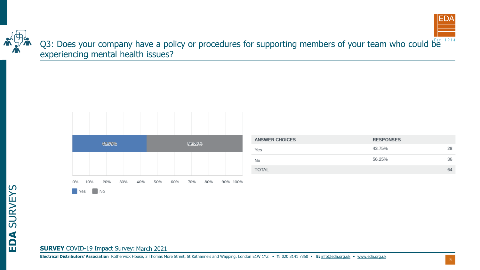



Q3: Does your company have a policy or procedures for supporting members of your team who could be experiencing mental health issues?



| <b>ANSWER CHOICES</b> | <b>RESPONSES</b> |    |
|-----------------------|------------------|----|
| Yes                   | 43.75%           | 28 |
| No                    | 56.25%           | 36 |
| <b>TOTAL</b>          |                  | 64 |

**EDA** SURVEYS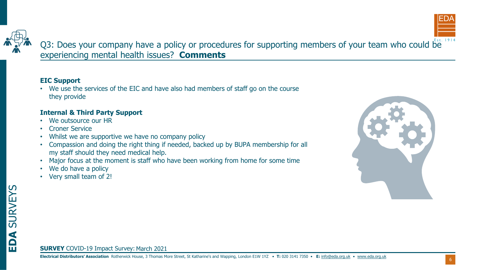



Q3: Does your company have a policy or procedures for supporting members of your team who could be experiencing mental health issues? **Comments**

#### **EIC Support**

• We use the services of the EIC and have also had members of staff go on the course they provide

#### **Internal & Third Party Support**

- We outsource our HR
- Croner Service
- Whilst we are supportive we have no company policy
- Compassion and doing the right thing if needed, backed up by BUPA membership for all my staff should they need medical help.
- Major focus at the moment is staff who have been working from home for some time
- We do have a policy
- Very small team of 2!



# **EDA** SURVEYS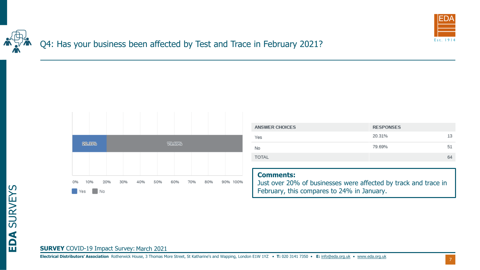

# Q4: Has your business been affected by Test and Trace in February 2021?



| <b>ANSWER CHOICES</b> | <b>RESPONSES</b> |    |
|-----------------------|------------------|----|
| Yes                   | 20.31%           | 13 |
| No                    | 79.69%           | 51 |
| <b>TOTAL</b>          |                  | 64 |
|                       |                  |    |

#### **Comments:**

Just over 20% of businesses were affected by track and trace in February, this compares to 24% in January.

#### **SURVEY** COVID-19 Impact Survey: March 2021

7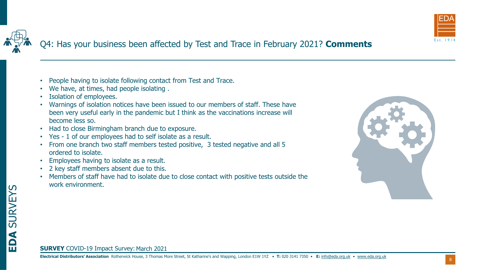

**EDA** SURVEYS

- People having to isolate following contact from Test and Trace.
- We have, at times, had people isolating .
- Isolation of employees.
- Warnings of isolation notices have been issued to our members of staff. These have been very useful early in the pandemic but I think as the vaccinations increase will become less so.
- Had to close Birmingham branch due to exposure.
- Yes 1 of our employees had to self isolate as a result.
- From one branch two staff members tested positive, 3 tested negative and all 5 ordered to isolate.
- Employees having to isolate as a result.
- 2 key staff members absent due to this.
- Members of staff have had to isolate due to close contact with positive tests outside the work environment.

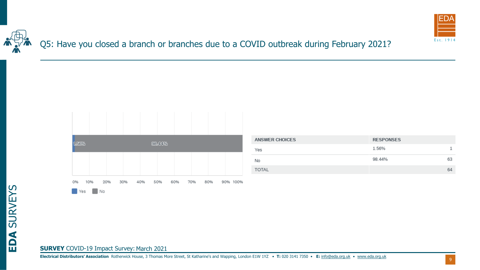

Q5: Have you closed a branch or branches due to a COVID outbreak during February 2021?



| <b>ANSWER CHOICES</b> | <b>RESPONSES</b> |    |
|-----------------------|------------------|----|
| Yes                   | 1.56%            |    |
| No                    | 98.44%           | 63 |
| <b>TOTAL</b>          |                  | 64 |

**EDA** SURVEYS

#### **SURVEY** COVID-19 Impact Survey: March 2021

**Electrical Distributors' Association** Rotherwick House, 3 Thomas More Street, St Katharine's and Wapping, London E1W 1YZ • **T:** 020 3141 7350 • **E:** [info@eda.org.uk](mailto:info@eda.org.uk) • [www.eda.org.uk](https://www.eda.org.uk/)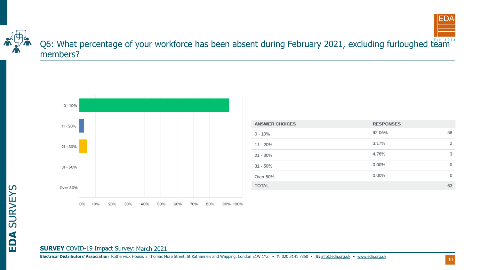



## Q6: What percentage of your workforce has been absent during February 2021, excluding furloughed team members?



| <b>ANSWER CHOICES</b> | <b>RESPONSES</b> |          |
|-----------------------|------------------|----------|
| $0 - 10%$             | 92.06%           | 58       |
| $11 - 20%$            | 3.17%            | 2        |
| $21 - 30\%$           | 4.76%            | 3        |
| $31 - 50%$            | 0.00%            | $\Omega$ |
| Over 50%              | 0.00%            | $\Omega$ |
| <b>TOTAL</b>          |                  | 63       |

# **EDA** SURVEYS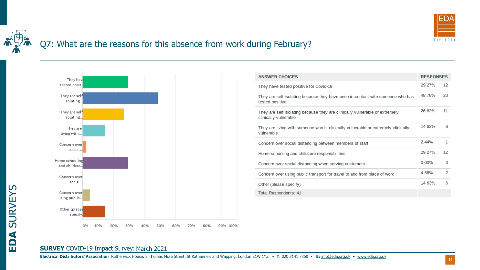

# Q7: What are the reasons for this absence from work during February?



| <b>ANSWER CHOICES</b>                                                                                | <b>RESPONSES</b> |          |
|------------------------------------------------------------------------------------------------------|------------------|----------|
| They have tested positive for Covid-19                                                               | 29 27%           | 12       |
| They are self isolating because they have been in contact with someone who has<br>tested positive    | 48 78%           | 20       |
| They are self isolating because they are clinically vulnerable or extremely<br>clinically vulnerable | 26 83%           | 11       |
| They are living with someone who is clinically vulnerable or extremely clinically<br>vulnerable      | 14 63%           | 6        |
| Concern over social distancing between members of staff                                              | 2.44%            | 1        |
| Home schooling and childcare responsibilities                                                        | 29 27%           | 12       |
| Concern over social distancing when serving customers                                                | 0.00%            | $\Omega$ |
| Concern over using public transport for travel to and from place of work                             | 4 88%            | 2        |
| Other (please specify)                                                                               | 14 63%           | 6        |
| Total Respondents: 41                                                                                |                  |          |

#### **SURVEY** COVID-19 Impact Survey: March 2021

**EDA** SURVEYS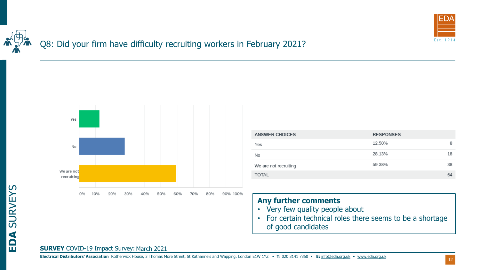

# Q8: Did your firm have difficulty recruiting workers in February 2021?



| <b>ANSWER CHOICES</b> | <b>RESPONSES</b> |    |
|-----------------------|------------------|----|
| Yes                   | 12.50%           | 8  |
| No                    | 28.13%           | 18 |
| We are not recruiting | 59.38%           | 38 |
| <b>TOTAL</b>          |                  | 64 |

#### **Any further comments**

- Very few quality people about
- For certain technical roles there seems to be a shortage of good candidates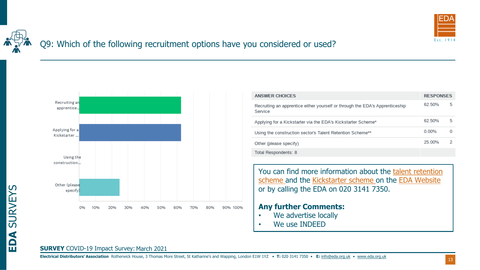

# Q9: Which of the following recruitment options have you considered or used?



| ANSWER CHOICES                                                                          | <b>RESPONSES</b> |   |
|-----------------------------------------------------------------------------------------|------------------|---|
| Recruiting an apprentice either yourself or through the EDA's Apprenticeship<br>Service | 62 50%           | 5 |
| Applying for a Kickstarter via the EDA's Kickstarter Scheme*                            | 62 50%           | 5 |
| Using the construction sector's Talent Retention Scheme**                               | 0.00%            | O |
| Other (please specify)                                                                  | 25 00%           | 2 |
| Total Respondents: 8                                                                    |                  |   |

You can find more information about the talent retention scheme and the Kickstarter scheme on the EDA Website or by calling the EDA on 020 3141 7350.

#### **Any further Comments:**

- We advertise locally
- We use INDEED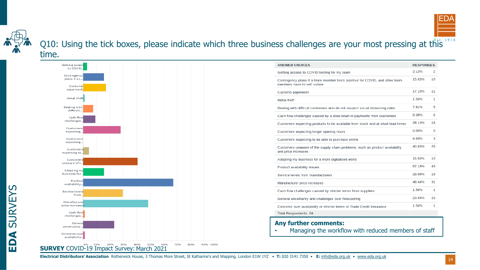

Q10: Using the tick boxes, please indicate which three business challenges are your most pressing at this 1914 time.



| <b>ANSWER CHOICES</b>                                                                                       | <b>RESPONSES</b> |          |
|-------------------------------------------------------------------------------------------------------------|------------------|----------|
| Getting access to COVID testing for my team                                                                 | 3.13%            | 2        |
| Contingency plans if a team member tests positive for COVID, and other team<br>members have to self isolate | 15.63%           | 10       |
| Customs paperwork                                                                                           | 17.19%           | 11       |
| Metal theft                                                                                                 | 1.56%            | 1        |
| Dealing with difficult customers who do not respect social distancing rules                                 | 781%             | 5        |
| Cash flow challenges caused by a slow down in payments from customers                                       | 9.38%            | 6        |
| Customers expecting products to be available from stock and at short lead times                             | 28 13%           | 18       |
| Customers expecting longer opening hours                                                                    | 0.00%            | $\Omega$ |
| Customers expecting to be able to purchase online                                                           | 4 69%            | 3        |
| Customers unaware of the supply chain problems, such as product availability<br>and price increases         | 40.63%           | 26       |
| Adapting my business for a more digitalised world                                                           | 15.63%           | 10       |
| Product availability issues                                                                                 | 67.19%           | 43       |
| Service levels from manufacturers                                                                           | 29.69%           | 19       |
| Manufacturer price increases                                                                                | 48.44%           | 31       |
| Cash flow challenges caused by stricter terms from suppliers                                                | 1.56%            | 1        |
| General uncertainty and challenges over forecasting                                                         | 23.44%           | 15       |
| Concerns over availability or stricter terms of Trade Credit Insurance                                      | 1.56%            | 1        |
| Total Respondents: 64                                                                                       |                  |          |

**Electrical Distributors' Association** Rotherwick House, 3 Thomas More Street, St Katharine's and Wapping, London E1W 1YZ • **T:** 020 3141 7350 • **E:** [info@eda.org.uk](mailto:info@eda.org.uk) • [www.eda.org.uk](https://www.eda.org.uk/)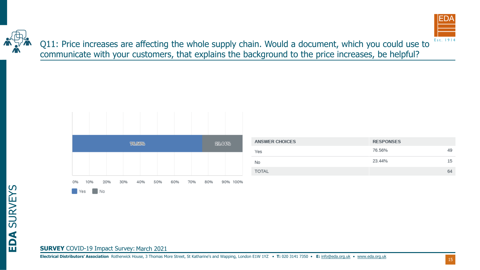

Q11: Price increases are affecting the whole supply chain. Would a document, which you could use to communicate with your customers, that explains the background to the price increases, be helpful?



| <b>ANSWER CHOICES</b> | <b>RESPONSES</b> |    |
|-----------------------|------------------|----|
| Yes                   | 76.56%           | 49 |
| No                    | 23.44%           | 15 |
| <b>TOTAL</b>          |                  | 64 |

**EDA** SURVEYS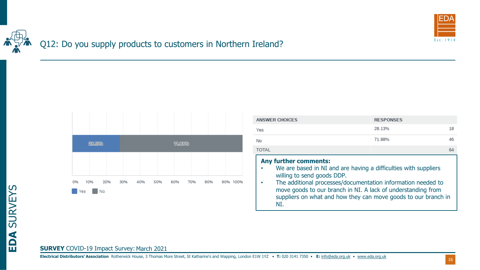

# Q12: Do you supply products to customers in Northern Ireland?



| <b>ANSWER CHOICES</b>                                                                                                                                                                                                                                                                                                                  | <b>RESPONSES</b> |    |
|----------------------------------------------------------------------------------------------------------------------------------------------------------------------------------------------------------------------------------------------------------------------------------------------------------------------------------------|------------------|----|
| Yes                                                                                                                                                                                                                                                                                                                                    | 28.13%           | 18 |
| No                                                                                                                                                                                                                                                                                                                                     | 71 88%           | 46 |
| <b>TOTAL</b>                                                                                                                                                                                                                                                                                                                           |                  | 64 |
| <b>Any further comments:</b><br>We are based in NI and are having a difficulties with suppliers<br>willing to send goods DDP.<br>The additional processes/documentation information needed to<br>move goods to our branch in NI. A lack of understanding from<br>suppliers on what and how they can move goods to our branch in<br>NT. |                  |    |

#### **SURVEY** COVID-19 Impact Survey: March 2021

**Electrical Distributors' Association** Rotherwick House, 3 Thomas More Street, St Katharine's and Wapping, London E1W 1YZ • **T:** 020 3141 7350 • **E:** [info@eda.org.uk](mailto:info@eda.org.uk) • [www.eda.org.uk](https://www.eda.org.uk/)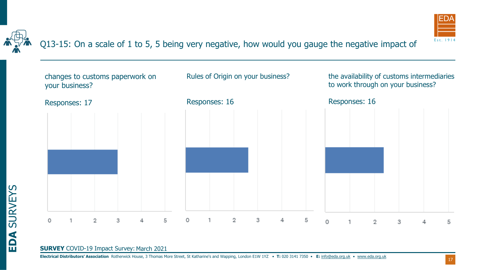

**EDA** SURVEYS

Q13-15: On a scale of 1 to 5, 5 being very negative, how would you gauge the negative impact of



#### **SURVEY** COVID-19 Impact Survey: March 2021

17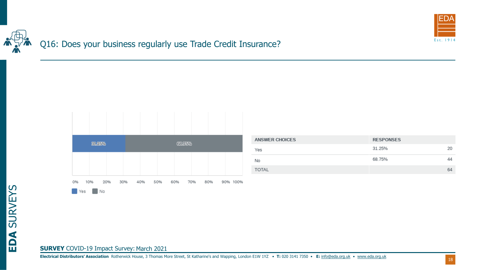

Q16: Does your business regularly use Trade Credit Insurance?



| <b>ANSWER CHOICES</b> | <b>RESPONSES</b> |    |
|-----------------------|------------------|----|
| Yes                   | 31.25%           | 20 |
| No                    | 68.75%           | 44 |
| <b>TOTAL</b>          |                  | 64 |

**EDA** SURVEYS

#### **SURVEY** COVID-19 Impact Survey: March 2021

**Electrical Distributors' Association** Rotherwick House, 3 Thomas More Street, St Katharine's and Wapping, London E1W 1YZ • **T:** 020 3141 7350 • **E:** [info@eda.org.uk](mailto:info@eda.org.uk) • [www.eda.org.uk](https://www.eda.org.uk/)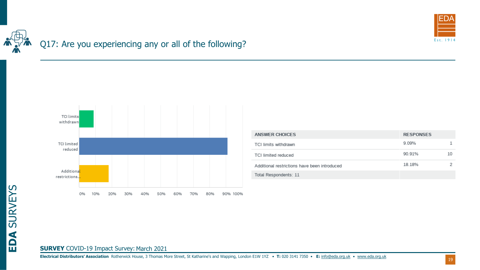

# Q17: Are you experiencing any or all of the following?



| ANSWER CHOICES                               | <b>RESPONSES</b> |    |
|----------------------------------------------|------------------|----|
| TCI limits withdrawn                         | 9.09%            |    |
| <b>TCI limited reduced</b>                   | 90.91%           | 10 |
| Additional restrictions have been introduced | 18 18%           |    |
| Total Respondents: 11                        |                  |    |
|                                              |                  |    |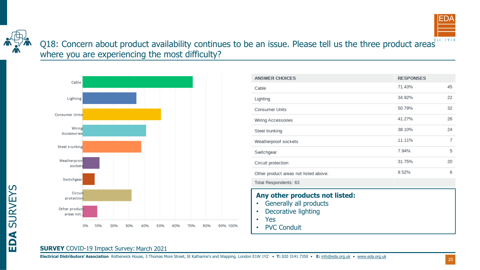



**EDA** SURVEYS

## Q18: Concern about product availability continues to be an issue. Please tell us the three product areas ESTL 1914 where you are experiencing the most difficulty?



| <b>ANSWER CHOICES</b>                                                                                               | <b>RESPONSES</b> |    |
|---------------------------------------------------------------------------------------------------------------------|------------------|----|
| Cable                                                                                                               | 71.43%           | 45 |
| Lighting                                                                                                            | 34.92%           | 22 |
| <b>Consumer Units</b>                                                                                               | 50.79%           | 32 |
| Wiring Accessories                                                                                                  | 41.27%           | 26 |
| Steel trunking                                                                                                      | 38.10%           | 24 |
| Weatherproof sockets                                                                                                | 11.11%           | 7  |
| Switchgear                                                                                                          | 7.94%            | 5  |
| Circuit protection                                                                                                  | 31.75%           | 20 |
| Other product areas not listed above:                                                                               | 9.52%            | 6  |
| Total Respondents: 63                                                                                               |                  |    |
| Any other products not listed:<br>Generally all products<br>Decorative lighting<br><b>Yes</b><br><b>PVC Conduit</b> |                  |    |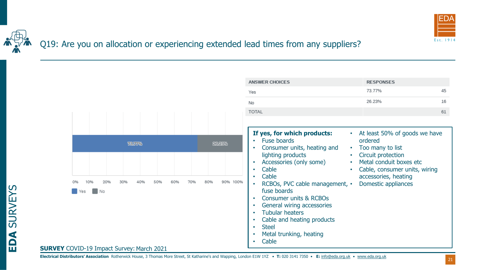

### Q19: Are you on allocation or experiencing extended lead times from any suppliers?

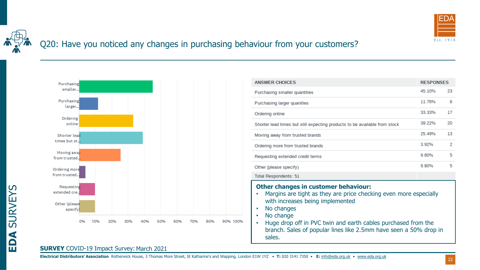

## Q20: Have you noticed any changes in purchasing behaviour from your customers?



| 45.10%<br>23<br>6<br>11.76%<br>17<br>33.33%<br>20<br>39.22%<br>Shorter lead times but still expecting products to be available from stock<br>13<br>25.49%<br>2<br>3.92%<br>5<br>9.80% |
|---------------------------------------------------------------------------------------------------------------------------------------------------------------------------------------|
|                                                                                                                                                                                       |
|                                                                                                                                                                                       |
|                                                                                                                                                                                       |
|                                                                                                                                                                                       |
|                                                                                                                                                                                       |
|                                                                                                                                                                                       |
|                                                                                                                                                                                       |
| 5<br>9.80%                                                                                                                                                                            |
|                                                                                                                                                                                       |
| <b>Other changes in customer behaviour:</b><br>Margins are tight as they are price checking even more especially                                                                      |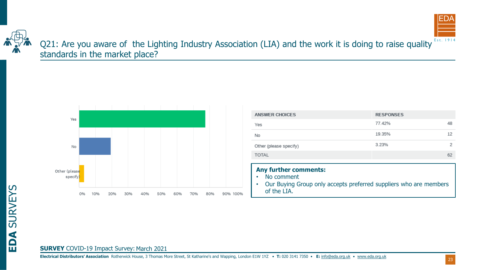



**EDA** SURVEYS

Q21: Are you aware of the Lighting Industry Association (LIA) and the work it is doing to raise quality Est. 1914 standards in the market place?



| <b>ANSWER CHOICES</b>                                                                                                          | <b>RESPONSES</b> |    |
|--------------------------------------------------------------------------------------------------------------------------------|------------------|----|
| Yes                                                                                                                            | 77.42%           | 48 |
| No                                                                                                                             | 19.35%           | 12 |
| Other (please specify)                                                                                                         | 3.23%            | 2  |
| <b>TOTAL</b>                                                                                                                   |                  | 62 |
| <b>Any further comments:</b><br>No comment<br>Our Buying Group only accepts preferred suppliers who are members<br>of the LIA. |                  |    |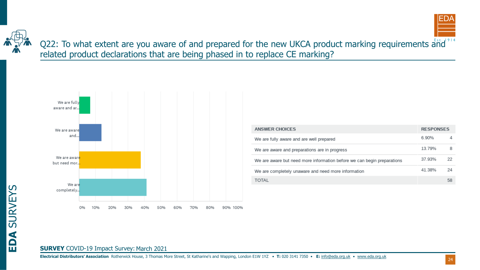Q22: To what extent are you aware of and prepared for the new UKCA product marking requirements and related product declarations that are being phased in to replace CE marking?



| ANSWER CHOICES                                                          | <b>RESPONSES</b> |    |
|-------------------------------------------------------------------------|------------------|----|
| We are fully aware and are well prepared                                | 6.90%            | 4  |
| We are aware and preparations are in progress                           | 13.79%           | 8  |
| We are aware but need more information before we can begin preparations | 37.93%           | 22 |
| We are completely unaware and need more information                     | 41 38%           | 24 |
| <b>TOTAL</b>                                                            |                  | 58 |

# **SURVEY** COVID-19 Impact Survey: March 2021

**Electrical Distributors' Association** Rotherwick House, 3 Thomas More Street, St Katharine's and Wapping, London E1W 1YZ • **T:** 020 3141 7350 • **E:** [info@eda.org.uk](mailto:info@eda.org.uk) • [www.eda.org.uk](https://www.eda.org.uk/)

24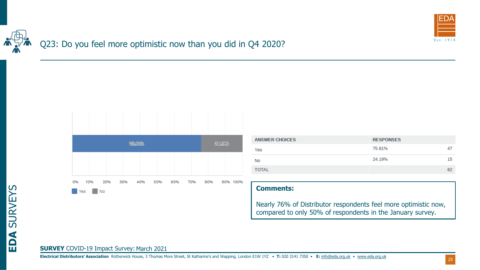

# Q23: Do you feel more optimistic now than you did in Q4 2020?



| <b>ANSWER CHOICES</b> | <b>RESPONSES</b> |    |
|-----------------------|------------------|----|
| Yes                   | 75.81%           | 47 |
| No                    | 24.19%           | 15 |
| <b>TOTAL</b>          |                  | 62 |

#### **Comments:**

Nearly 76% of Distributor respondents feel more optimistic now, compared to only 50% of respondents in the January survey.

# **EDA** SURVEYS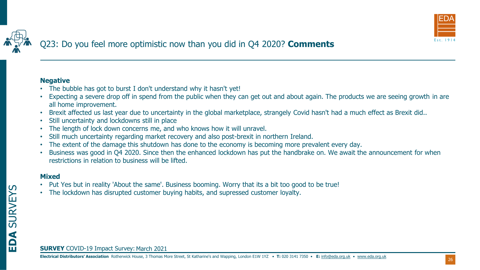

#### **Negative**

- The bubble has got to burst I don't understand why it hasn't yet!
- Expecting a severe drop off in spend from the public when they can get out and about again. The products we are seeing growth in are all home improvement.
- Brexit affected us last year due to uncertainty in the global marketplace, strangely Covid hasn't had a much effect as Brexit did..
- Still uncertainty and lockdowns still in place
- The length of lock down concerns me, and who knows how it will unravel.
- Still much uncertainty regarding market recovery and also post-brexit in northern Ireland.
- The extent of the damage this shutdown has done to the economy is becoming more prevalent every day.
- Business was good in Q4 2020. Since then the enhanced lockdown has put the handbrake on. We await the announcement for when restrictions in relation to business will be lifted.

#### **Mixed**

- Put Yes but in reality 'About the same'. Business booming. Worry that its a bit too good to be true!
- The lockdown has disrupted customer buying habits, and supressed customer loyalty.